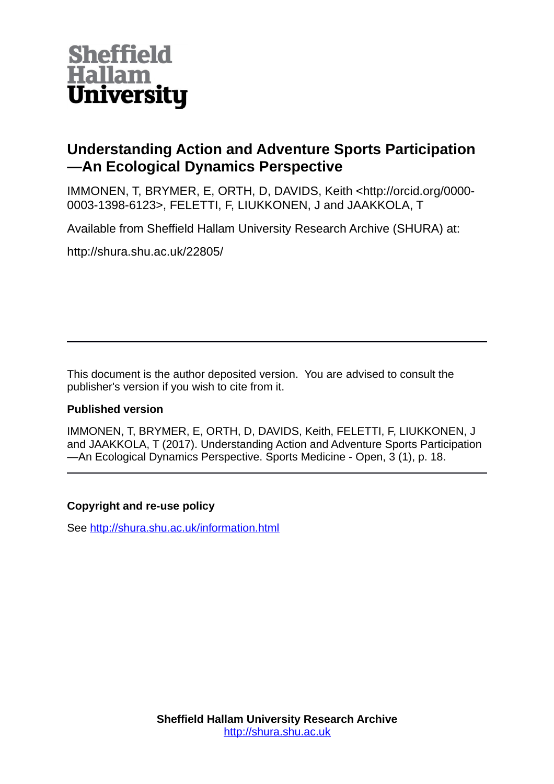

# **Understanding Action and Adventure Sports Participation —An Ecological Dynamics Perspective**

IMMONEN, T, BRYMER, E, ORTH, D, DAVIDS, Keith <http://orcid.org/0000- 0003-1398-6123>, FELETTI, F, LIUKKONEN, J and JAAKKOLA, T

Available from Sheffield Hallam University Research Archive (SHURA) at:

http://shura.shu.ac.uk/22805/

This document is the author deposited version. You are advised to consult the publisher's version if you wish to cite from it.

## **Published version**

IMMONEN, T, BRYMER, E, ORTH, D, DAVIDS, Keith, FELETTI, F, LIUKKONEN, J and JAAKKOLA, T (2017). Understanding Action and Adventure Sports Participation —An Ecological Dynamics Perspective. Sports Medicine - Open, 3 (1), p. 18.

## **Copyright and re-use policy**

See<http://shura.shu.ac.uk/information.html>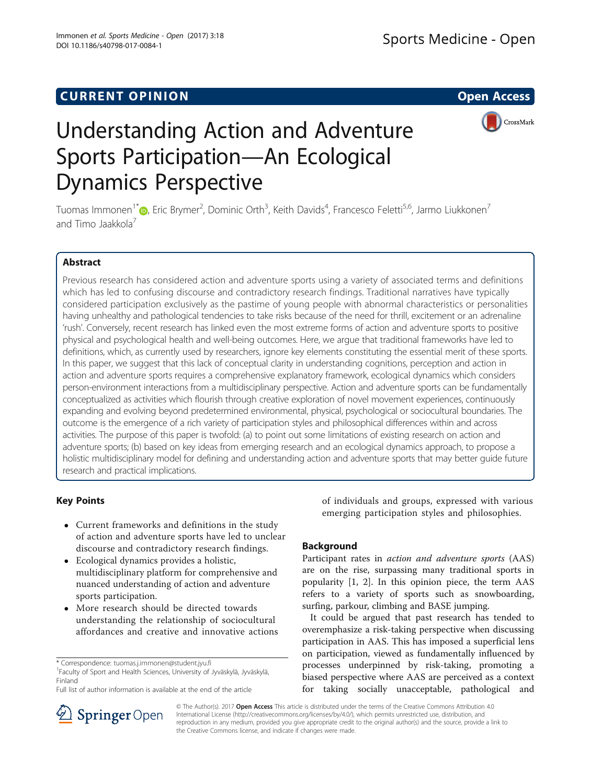## **CURRENT OPINION CURRENT OPINION**

CrossMark



Tuomas Immonen<sup>1[\\*](http://orcid.org/0000-0002-7743-8188)</sup> $\bm{\odot}$ , Eric Brymer<sup>2</sup>, Dominic Orth<sup>3</sup>, Keith Davids<sup>4</sup>, Francesco Feletti<sup>5,6</sup>, Jarmo Liukkonen<sup>7</sup> and Timo Jaakkola<sup>7</sup>

## Abstract

Previous research has considered action and adventure sports using a variety of associated terms and definitions which has led to confusing discourse and contradictory research findings. Traditional narratives have typically considered participation exclusively as the pastime of young people with abnormal characteristics or personalities having unhealthy and pathological tendencies to take risks because of the need for thrill, excitement or an adrenaline 'rush'. Conversely, recent research has linked even the most extreme forms of action and adventure sports to positive physical and psychological health and well-being outcomes. Here, we argue that traditional frameworks have led to definitions, which, as currently used by researchers, ignore key elements constituting the essential merit of these sports. In this paper, we suggest that this lack of conceptual clarity in understanding cognitions, perception and action in action and adventure sports requires a comprehensive explanatory framework, ecological dynamics which considers person-environment interactions from a multidisciplinary perspective. Action and adventure sports can be fundamentally conceptualized as activities which flourish through creative exploration of novel movement experiences, continuously expanding and evolving beyond predetermined environmental, physical, psychological or sociocultural boundaries. The outcome is the emergence of a rich variety of participation styles and philosophical differences within and across activities. The purpose of this paper is twofold: (a) to point out some limitations of existing research on action and adventure sports; (b) based on key ideas from emerging research and an ecological dynamics approach, to propose a holistic multidisciplinary model for defining and understanding action and adventure sports that may better guide future research and practical implications.

## Key Points

- Current frameworks and definitions in the study of action and adventure sports have led to unclear discourse and contradictory research findings.
- Ecological dynamics provides a holistic, multidisciplinary platform for comprehensive and nuanced understanding of action and adventure sports participation.
- More research should be directed towards understanding the relationship of sociocultural affordances and creative and innovative actions

Faculty of Sport and Health Sciences, University of Jyväskylä, Jyväskylä, Finland

of individuals and groups, expressed with various emerging participation styles and philosophies.

## Background

Participant rates in action and adventure sports (AAS) are on the rise, surpassing many traditional sports in popularity [\[1](#page-6-0), [2\]](#page-6-0). In this opinion piece, the term AAS refers to a variety of sports such as snowboarding, surfing, parkour, climbing and BASE jumping.

It could be argued that past research has tended to overemphasize a risk-taking perspective when discussing participation in AAS. This has imposed a superficial lens on participation, viewed as fundamentally influenced by processes underpinned by risk-taking, promoting a biased perspective where AAS are perceived as a context for taking socially unacceptable, pathological and



© The Author(s). 2017 Open Access This article is distributed under the terms of the Creative Commons Attribution 4.0 International License ([http://creativecommons.org/licenses/by/4.0/\)](http://creativecommons.org/licenses/by/4.0/), which permits unrestricted use, distribution, and reproduction in any medium, provided you give appropriate credit to the original author(s) and the source, provide a link to the Creative Commons license, and indicate if changes were made.

<sup>\*</sup> Correspondence: [tuomas.j.immonen@student.jyu.fi](mailto:tuomas.j.immonen@student.jyu.fi) <sup>1</sup>

Full list of author information is available at the end of the article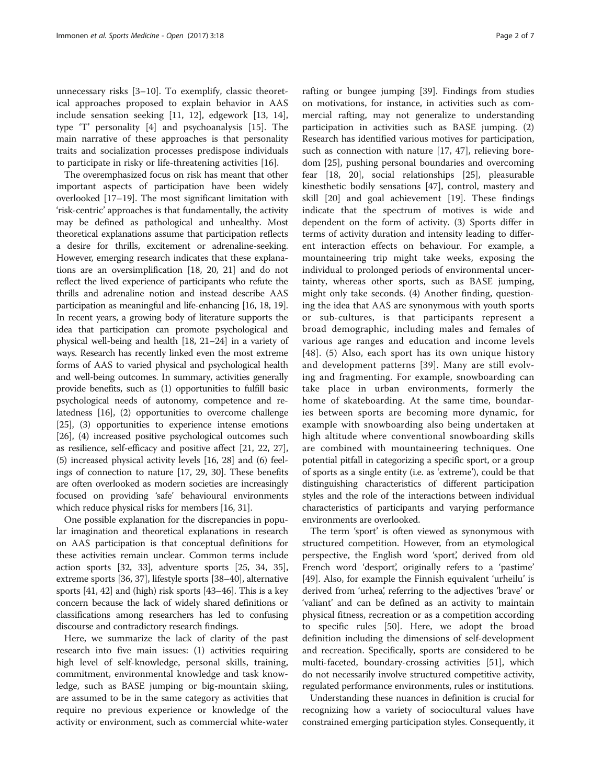unnecessary risks [\[3](#page-6-0)–[10](#page-6-0)]. To exemplify, classic theoretical approaches proposed to explain behavior in AAS include sensation seeking [\[11](#page-6-0), [12](#page-6-0)], edgework [\[13](#page-6-0), [14](#page-6-0)], type 'T' personality [[4\]](#page-6-0) and psychoanalysis [\[15](#page-6-0)]. The main narrative of these approaches is that personality traits and socialization processes predispose individuals to participate in risky or life-threatening activities [\[16\]](#page-6-0).

The overemphasized focus on risk has meant that other important aspects of participation have been widely overlooked [[17](#page-6-0)–[19\]](#page-6-0). The most significant limitation with 'risk-centric' approaches is that fundamentally, the activity may be defined as pathological and unhealthy. Most theoretical explanations assume that participation reflects a desire for thrills, excitement or adrenaline-seeking. However, emerging research indicates that these explanations are an oversimplification [[18, 20](#page-6-0), [21\]](#page-6-0) and do not reflect the lived experience of participants who refute the thrills and adrenaline notion and instead describe AAS participation as meaningful and life-enhancing [\[16, 18, 19](#page-6-0)]. In recent years, a growing body of literature supports the idea that participation can promote psychological and physical well-being and health [\[18, 21](#page-6-0)–[24](#page-6-0)] in a variety of ways. Research has recently linked even the most extreme forms of AAS to varied physical and psychological health and well-being outcomes. In summary, activities generally provide benefits, such as (1) opportunities to fulfill basic psychological needs of autonomy, competence and relatedness [\[16\]](#page-6-0), (2) opportunities to overcome challenge [[25](#page-6-0)], (3) opportunities to experience intense emotions [[26](#page-7-0)], (4) increased positive psychological outcomes such as resilience, self-efficacy and positive affect [\[21, 22,](#page-6-0) [27](#page-7-0)], (5) increased physical activity levels [\[16](#page-6-0), [28](#page-7-0)] and (6) feelings of connection to nature [[17](#page-6-0), [29, 30\]](#page-7-0). These benefits are often overlooked as modern societies are increasingly focused on providing 'safe' behavioural environments which reduce physical risks for members [\[16,](#page-6-0) [31](#page-7-0)].

One possible explanation for the discrepancies in popular imagination and theoretical explanations in research on AAS participation is that conceptual definitions for these activities remain unclear. Common terms include action sports [\[32, 33\]](#page-7-0), adventure sports [[25](#page-6-0), [34](#page-7-0), [35](#page-7-0)], extreme sports [[36](#page-7-0), [37\]](#page-7-0), lifestyle sports [\[38](#page-7-0)–[40](#page-7-0)], alternative sports [[41](#page-7-0), [42\]](#page-7-0) and (high) risk sports [[43](#page-7-0)–[46\]](#page-7-0). This is a key concern because the lack of widely shared definitions or classifications among researchers has led to confusing discourse and contradictory research findings.

Here, we summarize the lack of clarity of the past research into five main issues: (1) activities requiring high level of self-knowledge, personal skills, training, commitment, environmental knowledge and task knowledge, such as BASE jumping or big-mountain skiing, are assumed to be in the same category as activities that require no previous experience or knowledge of the activity or environment, such as commercial white-water

rafting or bungee jumping [\[39\]](#page-7-0). Findings from studies on motivations, for instance, in activities such as commercial rafting, may not generalize to understanding participation in activities such as BASE jumping. (2) Research has identified various motives for participation, such as connection with nature [[17](#page-6-0), [47\]](#page-7-0), relieving boredom [\[25\]](#page-6-0), pushing personal boundaries and overcoming fear [\[18](#page-6-0), [20](#page-6-0)], social relationships [\[25](#page-6-0)], pleasurable kinesthetic bodily sensations [[47\]](#page-7-0), control, mastery and skill [\[20](#page-6-0)] and goal achievement [\[19](#page-6-0)]. These findings indicate that the spectrum of motives is wide and dependent on the form of activity. (3) Sports differ in terms of activity duration and intensity leading to different interaction effects on behaviour. For example, a mountaineering trip might take weeks, exposing the individual to prolonged periods of environmental uncertainty, whereas other sports, such as BASE jumping, might only take seconds. (4) Another finding, questioning the idea that AAS are synonymous with youth sports or sub-cultures, is that participants represent a broad demographic, including males and females of various age ranges and education and income levels [[48](#page-7-0)]. (5) Also, each sport has its own unique history and development patterns [[39\]](#page-7-0). Many are still evolving and fragmenting. For example, snowboarding can take place in urban environments, formerly the home of skateboarding. At the same time, boundaries between sports are becoming more dynamic, for example with snowboarding also being undertaken at high altitude where conventional snowboarding skills are combined with mountaineering techniques. One potential pitfall in categorizing a specific sport, or a group of sports as a single entity (i.e. as 'extreme'), could be that distinguishing characteristics of different participation styles and the role of the interactions between individual characteristics of participants and varying performance environments are overlooked.

The term 'sport' is often viewed as synonymous with structured competition. However, from an etymological perspective, the English word 'sport', derived from old French word 'desport', originally refers to a 'pastime' [[49\]](#page-7-0). Also, for example the Finnish equivalent 'urheilu' is derived from 'urhea', referring to the adjectives 'brave' or 'valiant' and can be defined as an activity to maintain physical fitness, recreation or as a competition according to specific rules [\[50](#page-7-0)]. Here, we adopt the broad definition including the dimensions of self-development and recreation. Specifically, sports are considered to be multi-faceted, boundary-crossing activities [\[51\]](#page-7-0), which do not necessarily involve structured competitive activity, regulated performance environments, rules or institutions.

Understanding these nuances in definition is crucial for recognizing how a variety of sociocultural values have constrained emerging participation styles. Consequently, it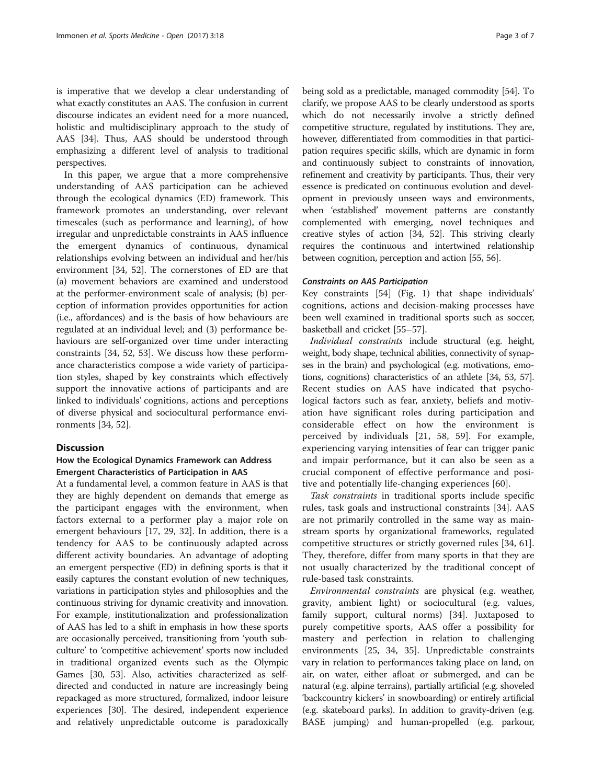is imperative that we develop a clear understanding of what exactly constitutes an AAS. The confusion in current discourse indicates an evident need for a more nuanced, holistic and multidisciplinary approach to the study of AAS [[34](#page-7-0)]. Thus, AAS should be understood through emphasizing a different level of analysis to traditional perspectives.

In this paper, we argue that a more comprehensive understanding of AAS participation can be achieved through the ecological dynamics (ED) framework. This framework promotes an understanding, over relevant timescales (such as performance and learning), of how irregular and unpredictable constraints in AAS influence the emergent dynamics of continuous, dynamical relationships evolving between an individual and her/his environment [\[34](#page-7-0), [52](#page-7-0)]. The cornerstones of ED are that (a) movement behaviors are examined and understood at the performer-environment scale of analysis; (b) perception of information provides opportunities for action (i.e., affordances) and is the basis of how behaviours are regulated at an individual level; and (3) performance behaviours are self-organized over time under interacting constraints [\[34](#page-7-0), [52, 53](#page-7-0)]. We discuss how these performance characteristics compose a wide variety of participation styles, shaped by key constraints which effectively support the innovative actions of participants and are linked to individuals' cognitions, actions and perceptions of diverse physical and sociocultural performance environments [\[34, 52\]](#page-7-0).

## **Discussion**

## How the Ecological Dynamics Framework can Address Emergent Characteristics of Participation in AAS

At a fundamental level, a common feature in AAS is that they are highly dependent on demands that emerge as the participant engages with the environment, when factors external to a performer play a major role on emergent behaviours [[17](#page-6-0), [29, 32\]](#page-7-0). In addition, there is a tendency for AAS to be continuously adapted across different activity boundaries. An advantage of adopting an emergent perspective (ED) in defining sports is that it easily captures the constant evolution of new techniques, variations in participation styles and philosophies and the continuous striving for dynamic creativity and innovation. For example, institutionalization and professionalization of AAS has led to a shift in emphasis in how these sports are occasionally perceived, transitioning from 'youth subculture' to 'competitive achievement' sports now included in traditional organized events such as the Olympic Games [[30](#page-7-0), [53](#page-7-0)]. Also, activities characterized as selfdirected and conducted in nature are increasingly being repackaged as more structured, formalized, indoor leisure experiences [\[30\]](#page-7-0). The desired, independent experience and relatively unpredictable outcome is paradoxically being sold as a predictable, managed commodity [\[54\]](#page-7-0). To clarify, we propose AAS to be clearly understood as sports which do not necessarily involve a strictly defined competitive structure, regulated by institutions. They are, however, differentiated from commodities in that participation requires specific skills, which are dynamic in form and continuously subject to constraints of innovation, refinement and creativity by participants. Thus, their very essence is predicated on continuous evolution and development in previously unseen ways and environments, when 'established' movement patterns are constantly complemented with emerging, novel techniques and creative styles of action [[34](#page-7-0), [52\]](#page-7-0). This striving clearly requires the continuous and intertwined relationship between cognition, perception and action [[55](#page-7-0), [56\]](#page-7-0).

#### Constraints on AAS Participation

Key constraints [\[54](#page-7-0)] (Fig. [1](#page-4-0)) that shape individuals' cognitions, actions and decision-making processes have been well examined in traditional sports such as soccer, basketball and cricket [[55](#page-7-0)–[57](#page-7-0)].

Individual constraints include structural (e.g. height, weight, body shape, technical abilities, connectivity of synapses in the brain) and psychological (e.g. motivations, emotions, cognitions) characteristics of an athlete [\[34, 53](#page-7-0), [57](#page-7-0)]. Recent studies on AAS have indicated that psychological factors such as fear, anxiety, beliefs and motivation have significant roles during participation and considerable effect on how the environment is perceived by individuals [[21,](#page-6-0) [58](#page-7-0), [59](#page-7-0)]. For example, experiencing varying intensities of fear can trigger panic and impair performance, but it can also be seen as a crucial component of effective performance and positive and potentially life-changing experiences [\[60](#page-7-0)].

Task constraints in traditional sports include specific rules, task goals and instructional constraints [[34\]](#page-7-0). AAS are not primarily controlled in the same way as mainstream sports by organizational frameworks, regulated competitive structures or strictly governed rules [\[34](#page-7-0), [61](#page-7-0)]. They, therefore, differ from many sports in that they are not usually characterized by the traditional concept of rule-based task constraints.

Environmental constraints are physical (e.g. weather, gravity, ambient light) or sociocultural (e.g. values, family support, cultural norms) [\[34](#page-7-0)]. Juxtaposed to purely competitive sports, AAS offer a possibility for mastery and perfection in relation to challenging environments [[25](#page-6-0), [34, 35](#page-7-0)]. Unpredictable constraints vary in relation to performances taking place on land, on air, on water, either afloat or submerged, and can be natural (e.g. alpine terrains), partially artificial (e.g. shoveled 'backcountry kickers' in snowboarding) or entirely artificial (e.g. skateboard parks). In addition to gravity-driven (e.g. BASE jumping) and human-propelled (e.g. parkour,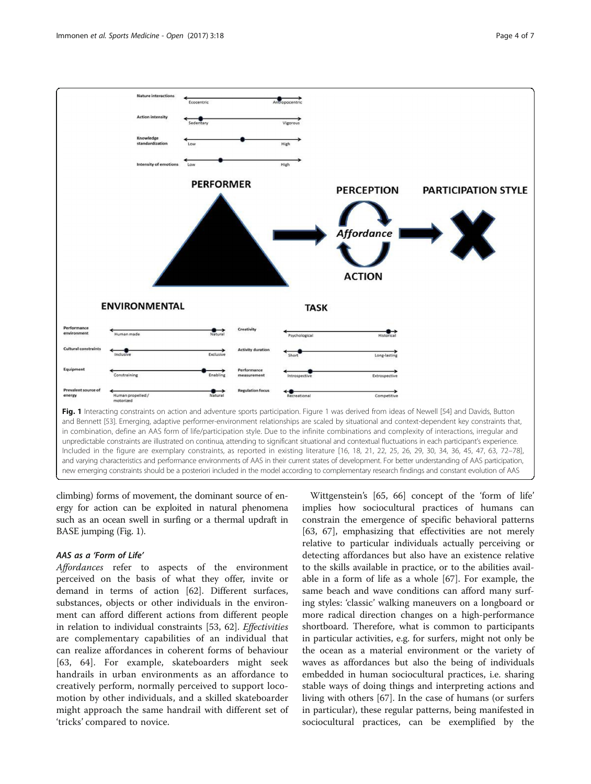<span id="page-4-0"></span>

climbing) forms of movement, the dominant source of energy for action can be exploited in natural phenomena such as an ocean swell in surfing or a thermal updraft in BASE jumping (Fig. 1).

### AAS as a 'Form of Life'

Affordances refer to aspects of the environment perceived on the basis of what they offer, invite or demand in terms of action [\[62](#page-7-0)]. Different surfaces, substances, objects or other individuals in the environment can afford different actions from different people in relation to individual constraints [[53, 62](#page-7-0)]. Effectivities are complementary capabilities of an individual that can realize affordances in coherent forms of behaviour [[63, 64\]](#page-7-0). For example, skateboarders might seek handrails in urban environments as an affordance to creatively perform, normally perceived to support locomotion by other individuals, and a skilled skateboarder might approach the same handrail with different set of 'tricks' compared to novice.

Wittgenstein's [\[65, 66](#page-7-0)] concept of the 'form of life' implies how sociocultural practices of humans can constrain the emergence of specific behavioral patterns [[63, 67\]](#page-7-0), emphasizing that effectivities are not merely relative to particular individuals actually perceiving or detecting affordances but also have an existence relative to the skills available in practice, or to the abilities available in a form of life as a whole [[67\]](#page-7-0). For example, the same beach and wave conditions can afford many surfing styles: 'classic' walking maneuvers on a longboard or more radical direction changes on a high-performance shortboard. Therefore, what is common to participants in particular activities, e.g. for surfers, might not only be the ocean as a material environment or the variety of waves as affordances but also the being of individuals embedded in human sociocultural practices, i.e. sharing stable ways of doing things and interpreting actions and living with others [[67\]](#page-7-0). In the case of humans (or surfers in particular), these regular patterns, being manifested in sociocultural practices, can be exemplified by the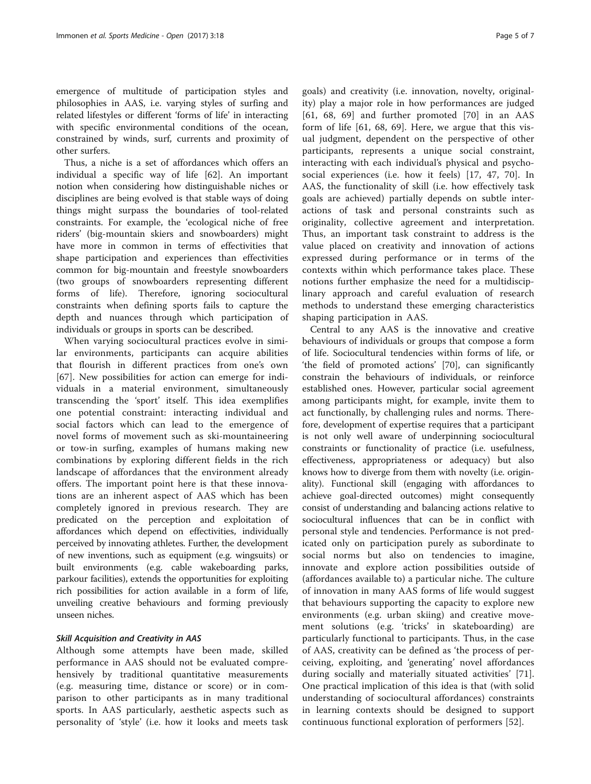emergence of multitude of participation styles and philosophies in AAS, i.e. varying styles of surfing and related lifestyles or different 'forms of life' in interacting with specific environmental conditions of the ocean, constrained by winds, surf, currents and proximity of other surfers.

Thus, a niche is a set of affordances which offers an individual a specific way of life [\[62](#page-7-0)]. An important notion when considering how distinguishable niches or disciplines are being evolved is that stable ways of doing things might surpass the boundaries of tool-related constraints. For example, the 'ecological niche of free riders' (big-mountain skiers and snowboarders) might have more in common in terms of effectivities that shape participation and experiences than effectivities common for big-mountain and freestyle snowboarders (two groups of snowboarders representing different forms of life). Therefore, ignoring sociocultural constraints when defining sports fails to capture the depth and nuances through which participation of individuals or groups in sports can be described.

When varying sociocultural practices evolve in similar environments, participants can acquire abilities that flourish in different practices from one's own [[67\]](#page-7-0). New possibilities for action can emerge for individuals in a material environment, simultaneously transcending the 'sport' itself. This idea exemplifies one potential constraint: interacting individual and social factors which can lead to the emergence of novel forms of movement such as ski-mountaineering or tow-in surfing, examples of humans making new combinations by exploring different fields in the rich landscape of affordances that the environment already offers. The important point here is that these innovations are an inherent aspect of AAS which has been completely ignored in previous research. They are predicated on the perception and exploitation of affordances which depend on effectivities, individually perceived by innovating athletes. Further, the development of new inventions, such as equipment (e.g. wingsuits) or built environments (e.g. cable wakeboarding parks, parkour facilities), extends the opportunities for exploiting rich possibilities for action available in a form of life, unveiling creative behaviours and forming previously unseen niches.

### Skill Acquisition and Creativity in AAS

Although some attempts have been made, skilled performance in AAS should not be evaluated comprehensively by traditional quantitative measurements (e.g. measuring time, distance or score) or in comparison to other participants as in many traditional sports. In AAS particularly, aesthetic aspects such as personality of 'style' (i.e. how it looks and meets task goals) and creativity (i.e. innovation, novelty, originality) play a major role in how performances are judged [[61, 68](#page-7-0), [69](#page-7-0)] and further promoted [[70](#page-7-0)] in an AAS form of life [[61, 68](#page-7-0), [69\]](#page-7-0). Here, we argue that this visual judgment, dependent on the perspective of other participants, represents a unique social constraint, interacting with each individual's physical and psychosocial experiences (i.e. how it feels) [[17](#page-6-0), [47, 70\]](#page-7-0). In AAS, the functionality of skill (i.e. how effectively task goals are achieved) partially depends on subtle interactions of task and personal constraints such as originality, collective agreement and interpretation. Thus, an important task constraint to address is the value placed on creativity and innovation of actions expressed during performance or in terms of the contexts within which performance takes place. These notions further emphasize the need for a multidisciplinary approach and careful evaluation of research methods to understand these emerging characteristics shaping participation in AAS.

Central to any AAS is the innovative and creative behaviours of individuals or groups that compose a form of life. Sociocultural tendencies within forms of life, or 'the field of promoted actions' [[70](#page-7-0)], can significantly constrain the behaviours of individuals, or reinforce established ones. However, particular social agreement among participants might, for example, invite them to act functionally, by challenging rules and norms. Therefore, development of expertise requires that a participant is not only well aware of underpinning sociocultural constraints or functionality of practice (i.e. usefulness, effectiveness, appropriateness or adequacy) but also knows how to diverge from them with novelty (i.e. originality). Functional skill (engaging with affordances to achieve goal-directed outcomes) might consequently consist of understanding and balancing actions relative to sociocultural influences that can be in conflict with personal style and tendencies. Performance is not predicated only on participation purely as subordinate to social norms but also on tendencies to imagine, innovate and explore action possibilities outside of (affordances available to) a particular niche. The culture of innovation in many AAS forms of life would suggest that behaviours supporting the capacity to explore new environments (e.g. urban skiing) and creative movement solutions (e.g. 'tricks' in skateboarding) are particularly functional to participants. Thus, in the case of AAS, creativity can be defined as 'the process of perceiving, exploiting, and 'generating' novel affordances during socially and materially situated activities' [\[71](#page-7-0)]. One practical implication of this idea is that (with solid understanding of sociocultural affordances) constraints in learning contexts should be designed to support continuous functional exploration of performers [[52\]](#page-7-0).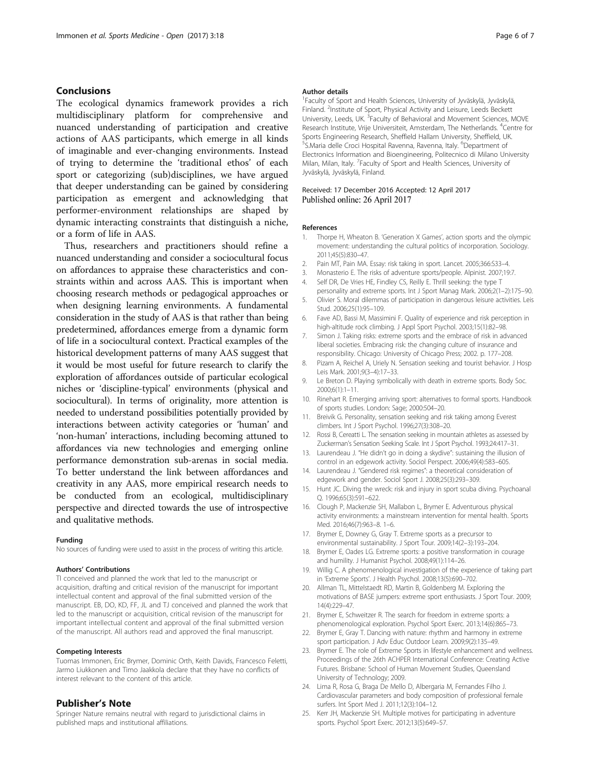### <span id="page-6-0"></span>**Conclusions**

The ecological dynamics framework provides a rich multidisciplinary platform for comprehensive and nuanced understanding of participation and creative actions of AAS participants, which emerge in all kinds of imaginable and ever-changing environments. Instead of trying to determine the 'traditional ethos' of each sport or categorizing (sub)disciplines, we have argued that deeper understanding can be gained by considering participation as emergent and acknowledging that performer-environment relationships are shaped by dynamic interacting constraints that distinguish a niche, or a form of life in AAS.

Thus, researchers and practitioners should refine a nuanced understanding and consider a sociocultural focus on affordances to appraise these characteristics and constraints within and across AAS. This is important when choosing research methods or pedagogical approaches or when designing learning environments. A fundamental consideration in the study of AAS is that rather than being predetermined, affordances emerge from a dynamic form of life in a sociocultural context. Practical examples of the historical development patterns of many AAS suggest that it would be most useful for future research to clarify the exploration of affordances outside of particular ecological niches or 'discipline-typical' environments (physical and sociocultural). In terms of originality, more attention is needed to understand possibilities potentially provided by interactions between activity categories or 'human' and 'non-human' interactions, including becoming attuned to affordances via new technologies and emerging online performance demonstration sub-arenas in social media. To better understand the link between affordances and creativity in any AAS, more empirical research needs to be conducted from an ecological, multidisciplinary perspective and directed towards the use of introspective and qualitative methods.

#### Funding

No sources of funding were used to assist in the process of writing this article.

#### Authors' Contributions

TI conceived and planned the work that led to the manuscript or acquisition, drafting and critical revision of the manuscript for important intellectual content and approval of the final submitted version of the manuscript. EB, DO, KD, FF, JL and TJ conceived and planned the work that led to the manuscript or acquisition, critical revision of the manuscript for important intellectual content and approval of the final submitted version of the manuscript. All authors read and approved the final manuscript.

#### Competing Interests

Tuomas Immonen, Eric Brymer, Dominic Orth, Keith Davids, Francesco Feletti, Jarmo Liukkonen and Timo Jaakkola declare that they have no conflicts of interest relevant to the content of this article.

#### Publisher's Note

Springer Nature remains neutral with regard to jurisdictional claims in published maps and institutional affiliations.

#### Author details

1 Faculty of Sport and Health Sciences, University of Jyväskylä, Jyväskylä, Finland. <sup>2</sup>Institute of Sport, Physical Activity and Leisure, Leeds Beckett University, Leeds, UK. <sup>3</sup>Faculty of Behavioral and Movement Sciences, MOVE Research Institute, Vrije Universiteit, Amsterdam, The Netherlands. <sup>4</sup>Centre for Sports Engineering Research, Sheffield Hallam University, Sheffield, UK. <sup>5</sup>S.Maria delle Croci Hospital Ravenna, Ravenna, Italy. <sup>6</sup>Department of Electronics Information and Bioengineering, Politecnico di Milano University Milan, Milan, Italy. <sup>7</sup>Faculty of Sport and Health Sciences, University of Jyväskylä, Jyväskylä, Finland.

#### Received: 17 December 2016 Accepted: 12 April 2017 Published online: 26 April 2017

#### References

- 1. Thorpe H, Wheaton B. 'Generation X Games', action sports and the olympic movement: understanding the cultural politics of incorporation. Sociology. 2011;45(5):830–47.
- 2. Pain MT, Pain MA. Essay: risk taking in sport. Lancet. 2005;366:S33–4.
- 3. Monasterio E. The risks of adventure sports/people. Alpinist. 2007;19:7.
- 4. Self DR, De Vries HE, Findley CS, Reilly E. Thrill seeking: the type T personality and extreme sports. Int J Sport Manag Mark. 2006;2(1–2):175–90.
- 5. Olivier S. Moral dilemmas of participation in dangerous leisure activities. Leis Stud. 2006;25(1):95–109.
- 6. Fave AD, Bassi M, Massimini F. Quality of experience and risk perception in high-altitude rock climbing. J Appl Sport Psychol. 2003;15(1):82–98.
- 7. Simon J. Taking risks: extreme sports and the embrace of risk in advanced liberal societies. Embracing risk: the changing culture of insurance and responsibility. Chicago: University of Chicago Press; 2002. p. 177–208.
- 8. Pizam A, Reichel A, Uriely N. Sensation seeking and tourist behavior. J Hosp Leis Mark. 2001;9(3–4):17–33.
- 9. Le Breton D. Playing symbolically with death in extreme sports. Body Soc. 2000;6(1):1–11.
- 10. Rinehart R. Emerging arriving sport: alternatives to formal sports. Handbook of sports studies. London: Sage; 2000:504–20.
- 11. Breivik G. Personality, sensation seeking and risk taking among Everest climbers. Int J Sport Psychol. 1996;27(3):308–20.
- 12. Rossi B, Cereatti L. The sensation seeking in mountain athletes as assessed by Zuckerman's Sensation Seeking Scale. Int J Sport Psychol. 1993;24:417–31.
- 13. Laurendeau J. "He didn't go in doing a skydive": sustaining the illusion of control in an edgework activity. Sociol Perspect. 2006;49(4):583–605.
- 14. Laurendeau J. "Gendered risk regimes": a theoretical consideration of edgework and gender. Sociol Sport J. 2008;25(3):293–309.
- 15. Hunt JC. Diving the wreck: risk and injury in sport scuba diving. Psychoanal Q. 1996;65(3):591–622.
- 16. Clough P, Mackenzie SH, Mallabon L, Brymer E. Adventurous physical activity environments: a mainstream intervention for mental health. Sports Med. 2016;46(7):963–8. 1–6.
- 17. Brymer E, Downey G, Gray T. Extreme sports as a precursor to environmental sustainability. J Sport Tour. 2009;14(2–3):193–204.
- 18. Brymer E, Oades LG. Extreme sports: a positive transformation in courage and humility. J Humanist Psychol. 2008;49(1):114–26.
- 19. Willig C. A phenomenological investigation of the experience of taking part in 'Extreme Sports'. J Health Psychol. 2008;13(5):690–702.
- 20. Allman TL, Mittelstaedt RD, Martin B, Goldenberg M. Exploring the motivations of BASE jumpers: extreme sport enthusiasts. J Sport Tour. 2009; 14(4):229–47.
- 21. Brymer E, Schweitzer R. The search for freedom in extreme sports: a phenomenological exploration. Psychol Sport Exerc. 2013;14(6):865–73.
- 22. Brymer E, Gray T. Dancing with nature: rhythm and harmony in extreme sport participation. J Adv Educ Outdoor Learn. 2009;9(2):135–49.
- 23. Brymer E. The role of Extreme Sports in lifestyle enhancement and wellness. Proceedings of the 26th ACHPER International Conference: Creating Active Futures. Brisbane: School of Human Movement Studies, Queensland University of Technology; 2009.
- 24. Lima R, Rosa G, Braga De Mello D, Albergaria M, Fernandes Filho J. Cardiovascular parameters and body composition of professional female surfers. Int Sport Med J. 2011;12(3):104–12.
- 25. Kerr JH, Mackenzie SH. Multiple motives for participating in adventure sports. Psychol Sport Exerc. 2012;13(5):649–57.